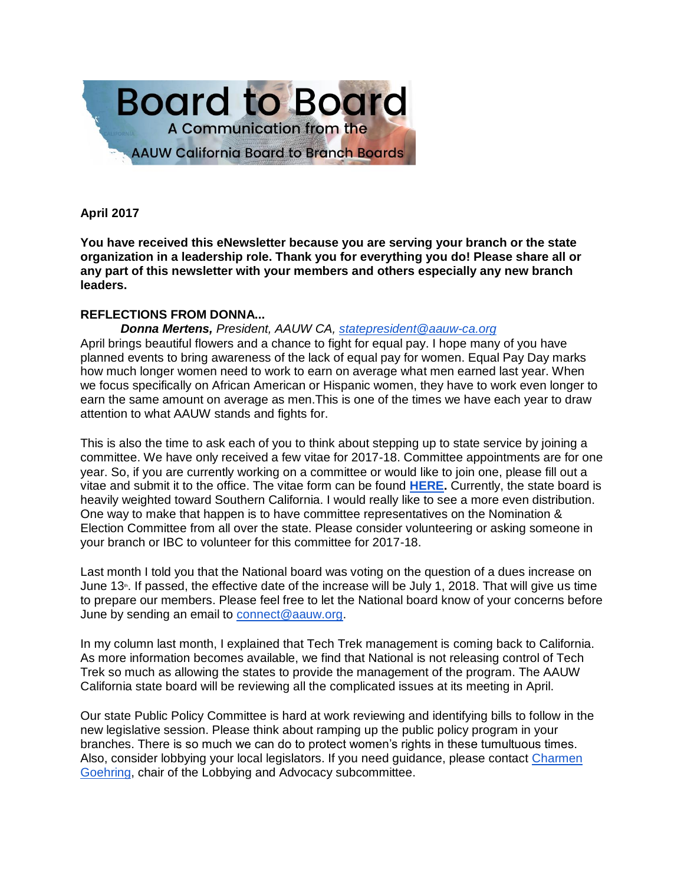

# **April 2017**

**You have received this eNewsletter because you are serving your branch or the state organization in a leadership role. Thank you for everything you do! Please share all or any part of this newsletter with your members and others especially any new branch leaders.**

# **REFLECTIONS FROM DONNA...**

*Donna Mertens, President, AAUW CA, [statepresident@aauw-ca.org](mailto:statepresident@aauw-ca.org)*

April brings beautiful flowers and a chance to fight for equal pay. I hope many of you have planned events to bring awareness of the lack of equal pay for women. Equal Pay Day marks how much longer women need to work to earn on average what men earned last year. When we focus specifically on African American or Hispanic women, they have to work even longer to earn the same amount on average as men.This is one of the times we have each year to draw attention to what AAUW stands and fights for.

This is also the time to ask each of you to think about stepping up to state service by joining a committee. We have only received a few vitae for 2017-18. Committee appointments are for one year. So, if you are currently working on a committee or would like to join one, please fill out a vitae and submit it to the office. The vitae form can be found **[HERE.](http://www.aauw-ca.org/join-the-board/)** Currently, the state board is heavily weighted toward Southern California. I would really like to see a more even distribution. One way to make that happen is to have committee representatives on the Nomination & Election Committee from all over the state. Please consider volunteering or asking someone in your branch or IBC to volunteer for this committee for 2017-18.

Last month I told you that the National board was voting on the question of a dues increase on June 13<sup>th</sup>. If passed, the effective date of the increase will be July 1, 2018. That will give us time to prepare our members. Please feel free to let the National board know of your concerns before June by sending an email to [connect@aauw.org.](mailto:connect@aauw.org)

In my column last month, I explained that Tech Trek management is coming back to California. As more information becomes available, we find that National is not releasing control of Tech Trek so much as allowing the states to provide the management of the program. The AAUW California state board will be reviewing all the complicated issues at its meeting in April.

Our state Public Policy Committee is hard at work reviewing and identifying bills to follow in the new legislative session. Please think about ramping up the public policy program in your branches. There is so much we can do to protect women's rights in these tumultuous times. Also, consider lobbying your local legislators. If you need guidance, please contact [Charmen](mailto:charminme@yahoo.com)  [Goehring,](mailto:charminme@yahoo.com) chair of the Lobbying and Advocacy subcommittee.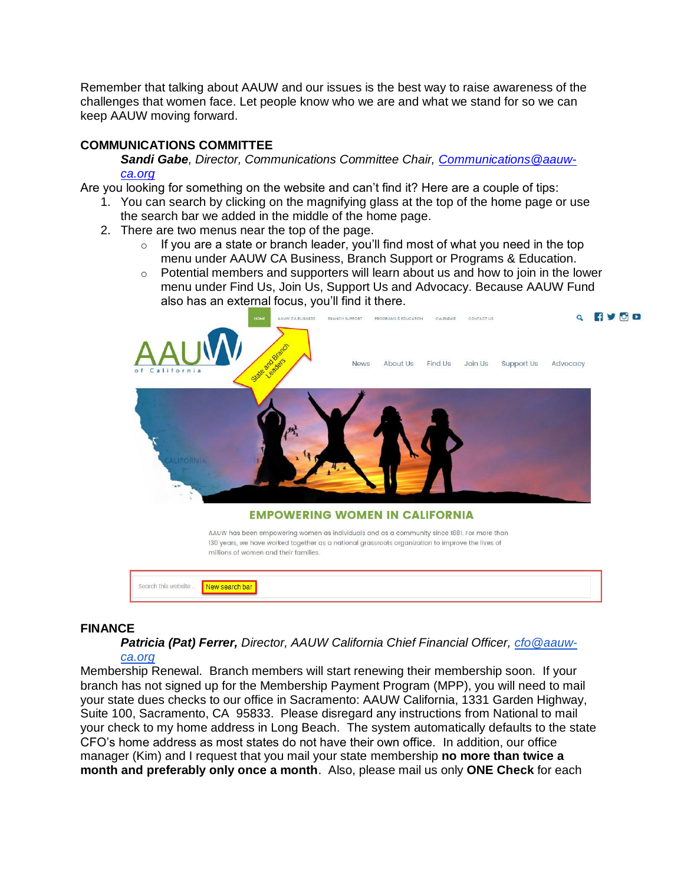Remember that talking about AAUW and our issues is the best way to raise awareness of the challenges that women face. Let people know who we are and what we stand for so we can keep AAUW moving forward.

# **COMMUNICATIONS COMMITTEE**

*Sandi Gabe, Director, Communications Committee Chair, [Communications@aauw](mailto:Communications@aauw-ca.org)[ca.org](mailto:Communications@aauw-ca.org)*

Are you looking for something on the website and can't find it? Here are a couple of tips:

- 1. You can search by clicking on the magnifying glass at the top of the home page or use the search bar we added in the middle of the home page.
- 2. There are two menus near the top of the page.
	- $\circ$  If you are a state or branch leader, you'll find most of what you need in the top menu under AAUW CA Business, Branch Support or Programs & Education.
	- $\circ$  Potential members and supporters will learn about us and how to join in the lower menu under Find Us, Join Us, Support Us and Advocacy. Because AAUW Fund also has an external focus, you'll find it there.



## **FINANCE**

# *Patricia (Pat) Ferrer, Director, AAUW California Chief Financial Officer, [cfo@aauw-](mailto:cfo@aauw-ca.org)*

*[ca.org](mailto:cfo@aauw-ca.org)* Membership Renewal. Branch members will start renewing their membership soon. If your branch has not signed up for the Membership Payment Program (MPP), you will need to mail your state dues checks to our office in Sacramento: AAUW California, 1331 Garden Highway, Suite 100, Sacramento, CA 95833. Please disregard any instructions from National to mail your check to my home address in Long Beach. The system automatically defaults to the state CFO's home address as most states do not have their own office. In addition, our office manager (Kim) and I request that you mail your state membership **no more than twice a month and preferably only once a month**. Also, please mail us only **ONE Check** for each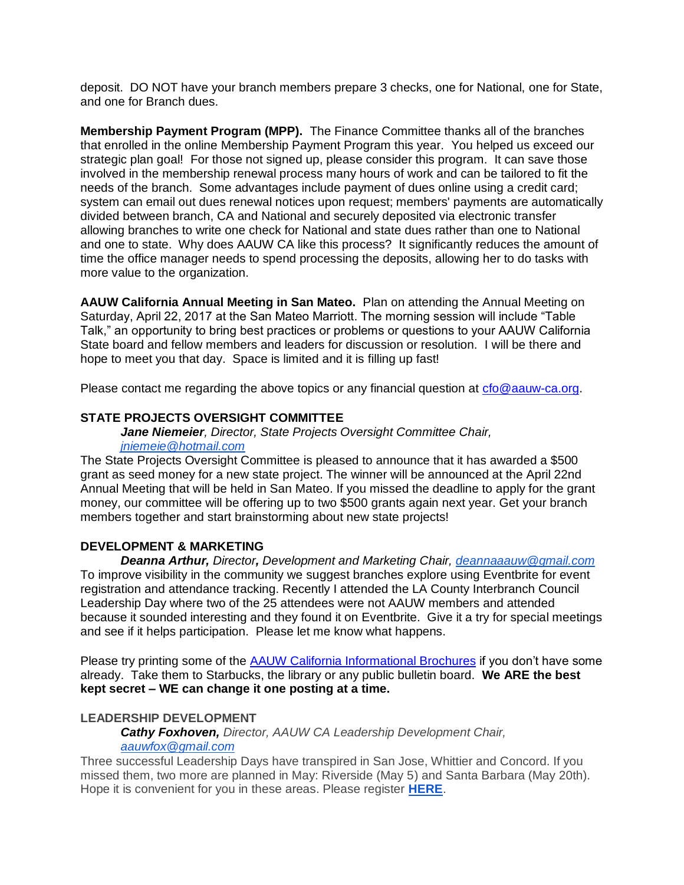deposit. DO NOT have your branch members prepare 3 checks, one for National, one for State, and one for Branch dues.

**Membership Payment Program (MPP).** The Finance Committee thanks all of the branches that enrolled in the online Membership Payment Program this year. You helped us exceed our strategic plan goal! For those not signed up, please consider this program. It can save those involved in the membership renewal process many hours of work and can be tailored to fit the needs of the branch. Some advantages include payment of dues online using a credit card; system can email out dues renewal notices upon request; members' payments are automatically divided between branch, CA and National and securely deposited via electronic transfer allowing branches to write one check for National and state dues rather than one to National and one to state. Why does AAUW CA like this process? It significantly reduces the amount of time the office manager needs to spend processing the deposits, allowing her to do tasks with more value to the organization.

**AAUW California Annual Meeting in San Mateo.** Plan on attending the Annual Meeting on Saturday, April 22, 2017 at the San Mateo Marriott. The morning session will include "Table Talk," an opportunity to bring best practices or problems or questions to your AAUW California State board and fellow members and leaders for discussion or resolution. I will be there and hope to meet you that day. Space is limited and it is filling up fast!

Please contact me regarding the above topics or any financial question at [cfo@aauw-ca.org.](mailto:cfo@aauw-ca.org)

# **STATE PROJECTS OVERSIGHT COMMITTEE**

*Jane Niemeier, Director, State Projects Oversight Committee Chair,*

#### *[jniemeie@hotmail.com](mailto:jniemeie@hotmail.com)*

The State Projects Oversight Committee is pleased to announce that it has awarded a \$500 grant as seed money for a new state project. The winner will be announced at the April 22nd Annual Meeting that will be held in San Mateo. If you missed the deadline to apply for the grant money, our committee will be offering up to two \$500 grants again next year. Get your branch members together and start brainstorming about new state projects!

## **DEVELOPMENT & MARKETING**

*Deanna Arthur, Director, Development and Marketing Chair, [deannaaauw@gmail.com](mailto:deannaaauw@gmail.com)* To improve visibility in the community we suggest branches explore using Eventbrite for event registration and attendance tracking. Recently I attended the LA County Interbranch Council Leadership Day where two of the 25 attendees were not AAUW members and attended because it sounded interesting and they found it on Eventbrite. Give it a try for special meetings and see if it helps participation. Please let me know what happens.

Please try printing some of the [AAUW California Informational Brochures](http://www.aauw-ca.org/state-brochures/) if you don't have some already. Take them to Starbucks, the library or any public bulletin board. **We ARE the best kept secret – WE can change it one posting at a time.**

## **LEADERSHIP DEVELOPMENT**

*Cathy Foxhoven, Director, AAUW CA Leadership Development Chair, [aauwfox@gmail.com](mailto:aauwfox@gmail.com)*

Three successful Leadership Days have transpired in San Jose, Whittier and Concord. If you missed them, two more are planned in May: Riverside (May 5) and Santa Barbara (May 20th). Hope it is convenient for you in these areas. Please register **[HERE](http://www.aauw-ca.org/aauw-california-leadership-days-2017/)**.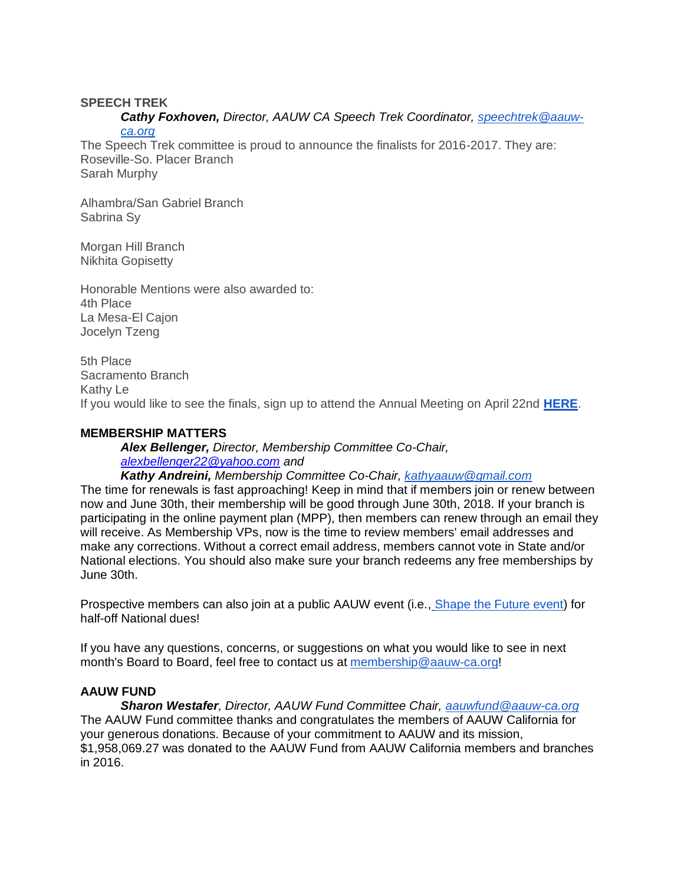## **SPEECH TREK**

#### *Cathy Foxhoven, Director, AAUW CA Speech Trek Coordinator, [speechtrek@aauw](mailto:speechtrek@aauw-ca.org)[ca.org](mailto:speechtrek@aauw-ca.org)*

The Speech Trek committee is proud to announce the finalists for 2016-2017. They are: Roseville-So. Placer Branch Sarah Murphy

Alhambra/San Gabriel Branch Sabrina Sy

Morgan Hill Branch Nikhita Gopisetty

Honorable Mentions were also awarded to: 4th Place La Mesa-El Cajon Jocelyn Tzeng

5th Place Sacramento Branch Kathy Le If you would like to see the finals, sign up to attend the Annual Meeting on April 22nd **[HERE](http://www.aauw-ca.org/2017-annual-meeting/)**.

# **MEMBERSHIP MATTERS**

*Alex Bellenger, Director, Membership Committee Co-Chair, [alexbellenger22@yahoo.com](mailto:alexbellenger22@yahoo.com) and Kathy Andreini, Membership Committee Co-Chair, [kathyaauw@gmail.com](mailto:kathyaauw@gmail.com)*

The time for renewals is fast approaching! Keep in mind that if members join or renew between now and June 30th, their membership will be good through June 30th, 2018. If your branch is participating in the online payment plan (MPP), then members can renew through an email they will receive. As Membership VPs, now is the time to review members' email addresses and make any corrections. Without a correct email address, members cannot vote in State and/or National elections. You should also make sure your branch redeems any free memberships by June 30th.

Prospective members can also join at a public AAUW event (i.e., [Shape the Future event\)](http://www.aauw.org/resource/shape-the-future-membership-campaign/) for half-off National dues!

If you have any questions, concerns, or suggestions on what you would like to see in next month's Board to Board, feel free to contact us at [membership@aauw-ca.org!](mailto:membership@aauw-ca.org)

# **AAUW FUND**

*Sharon Westafer, Director, AAUW Fund Committee Chair, [aauwfund@aauw-ca.org](mailto:aauwfund@aauw-ca.org)* The AAUW Fund committee thanks and congratulates the members of AAUW California for your generous donations. Because of your commitment to AAUW and its mission, \$1,958,069.27 was donated to the AAUW Fund from AAUW California members and branches in 2016.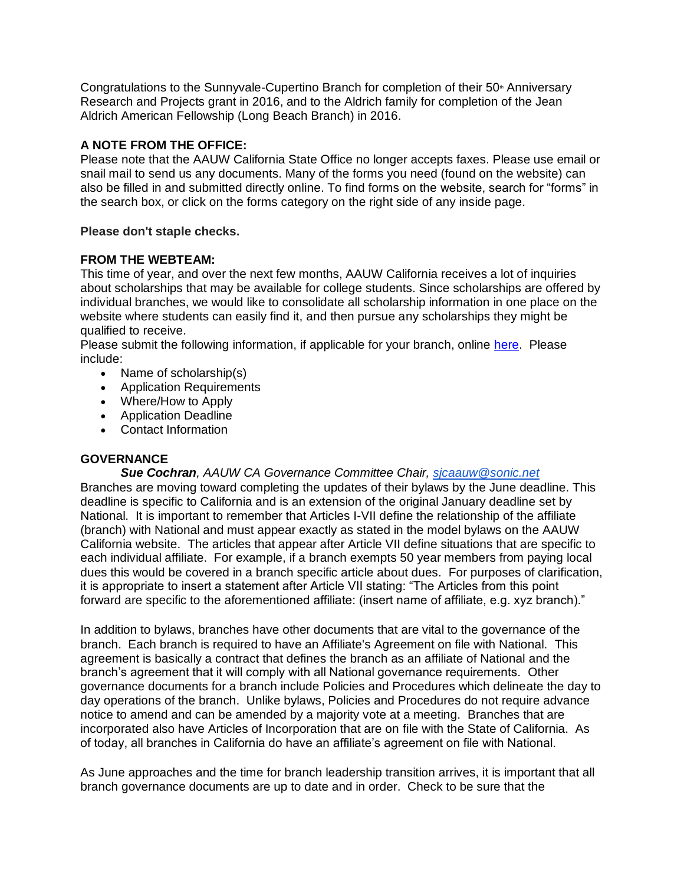Congratulations to the Sunnyvale-Cupertino Branch for completion of their 50<sup>th</sup> Anniversary Research and Projects grant in 2016, and to the Aldrich family for completion of the Jean Aldrich American Fellowship (Long Beach Branch) in 2016.

# **A NOTE FROM THE OFFICE:**

Please note that the AAUW California State Office no longer accepts faxes. Please use email or snail mail to send us any documents. Many of the forms you need (found on the website) can also be filled in and submitted directly online. To find forms on the website, search for "forms" in the search box, or click on the forms category on the right side of any inside page.

# **Please don't staple checks.**

# **FROM THE WEBTEAM:**

This time of year, and over the next few months, AAUW California receives a lot of inquiries about scholarships that may be available for college students. Since scholarships are offered by individual branches, we would like to consolidate all scholarship information in one place on the website where students can easily find it, and then pursue any scholarships they might be qualified to receive.

Please submit the following information, if applicable for your branch, online [here.](http://www.aauw-ca.org/scholarships/) Please include:

- Name of scholarship(s)
- Application Requirements
- Where/How to Apply
- Application Deadline
- Contact Information

# **GOVERNANCE**

## *Sue Cochran, AAUW CA Governance Committee Chair, [sjcaauw@sonic.net](mailto:sjcaauw@sonic.net)*

Branches are moving toward completing the updates of their bylaws by the June deadline. This deadline is specific to California and is an extension of the original January deadline set by National. It is important to remember that Articles I-VII define the relationship of the affiliate (branch) with National and must appear exactly as stated in the model bylaws on the AAUW California website. The articles that appear after Article VII define situations that are specific to each individual affiliate. For example, if a branch exempts 50 year members from paying local dues this would be covered in a branch specific article about dues. For purposes of clarification, it is appropriate to insert a statement after Article VII stating: "The Articles from this point forward are specific to the aforementioned affiliate: (insert name of affiliate, e.g. xyz branch)."

In addition to bylaws, branches have other documents that are vital to the governance of the branch. Each branch is required to have an Affiliate's Agreement on file with National. This agreement is basically a contract that defines the branch as an affiliate of National and the branch's agreement that it will comply with all National governance requirements. Other governance documents for a branch include Policies and Procedures which delineate the day to day operations of the branch. Unlike bylaws, Policies and Procedures do not require advance notice to amend and can be amended by a majority vote at a meeting. Branches that are incorporated also have Articles of Incorporation that are on file with the State of California. As of today, all branches in California do have an affiliate's agreement on file with National.

As June approaches and the time for branch leadership transition arrives, it is important that all branch governance documents are up to date and in order. Check to be sure that the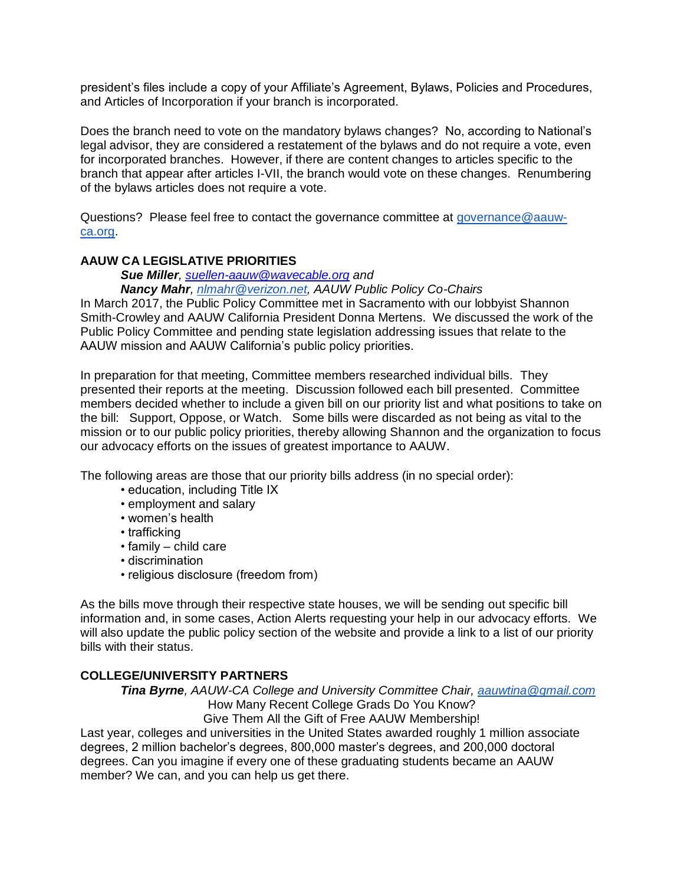president's files include a copy of your Affiliate's Agreement, Bylaws, Policies and Procedures, and Articles of Incorporation if your branch is incorporated.

Does the branch need to vote on the mandatory bylaws changes? No, according to National's legal advisor, they are considered a restatement of the bylaws and do not require a vote, even for incorporated branches. However, if there are content changes to articles specific to the branch that appear after articles I-VII, the branch would vote on these changes. Renumbering of the bylaws articles does not require a vote.

Questions? Please feel free to contact the governance committee at [governance@aauw](mailto:governance@aauw-ca.org)[ca.org.](mailto:governance@aauw-ca.org)

# **AAUW CA LEGISLATIVE PRIORITIES**

*Sue Miller, [suellen-aauw@wavecable.org](mailto:suellen-aauw@wavecable.org) and Nancy Mahr, [nlmahr@verizon.net,](mailto:nlmahr@verizon.net) AAUW Public Policy Co-Chairs* 

In March 2017, the Public Policy Committee met in Sacramento with our lobbyist Shannon Smith-Crowley and AAUW California President Donna Mertens. We discussed the work of the Public Policy Committee and pending state legislation addressing issues that relate to the AAUW mission and AAUW California's public policy priorities.

In preparation for that meeting, Committee members researched individual bills. They presented their reports at the meeting. Discussion followed each bill presented. Committee members decided whether to include a given bill on our priority list and what positions to take on the bill: Support, Oppose, or Watch. Some bills were discarded as not being as vital to the mission or to our public policy priorities, thereby allowing Shannon and the organization to focus our advocacy efforts on the issues of greatest importance to AAUW.

The following areas are those that our priority bills address (in no special order):

- education, including Title IX
- employment and salary
- women's health
- trafficking
- family child care
- discrimination
- religious disclosure (freedom from)

As the bills move through their respective state houses, we will be sending out specific bill information and, in some cases, Action Alerts requesting your help in our advocacy efforts. We will also update the public policy section of the website and provide a link to a list of our priority bills with their status.

# **COLLEGE/UNIVERSITY PARTNERS**

*Tina Byrne, AAUW-CA College and University Committee Chair, [aauwtina@gmail.com](mailto:aauwtina@gmail.com)* How Many Recent College Grads Do You Know?

Give Them All the Gift of Free AAUW Membership! Last year, colleges and universities in the United States awarded roughly 1 million associate degrees, 2 million bachelor's degrees, 800,000 master's degrees, and 200,000 doctoral degrees. Can you imagine if every one of these graduating students became an AAUW member? We can, and you can help us get there.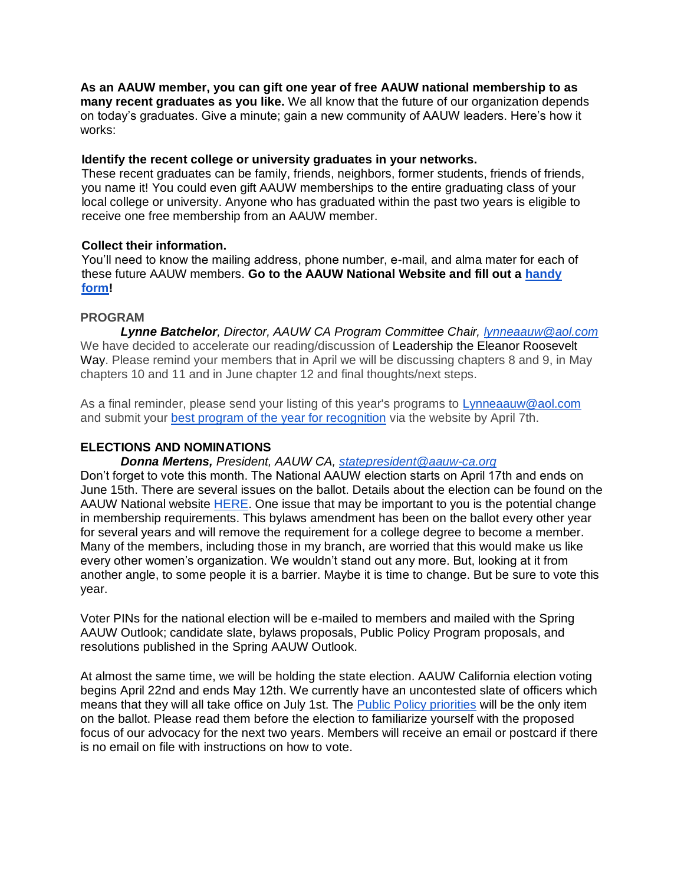**As an AAUW member, you can gift one year of free AAUW national membership to as many recent graduates as you like.** We all know that the future of our organization depends on today's graduates. Give a minute; gain a new community of AAUW leaders. Here's how it works:

## **Identify the recent college or university graduates in your networks.**

These recent graduates can be family, friends, neighbors, former students, friends of friends, you name it! You could even gift AAUW memberships to the entire graduating class of your local college or university. Anyone who has graduated within the past two years is eligible to receive one free membership from an AAUW member.

# **Collect their information.**

You'll need to know the mailing address, phone number, e-mail, and alma mater for each of these future AAUW members. **Go to the AAUW National Website and fill out a [handy](http://www.aauw.org/resource/give-a-grad-a-gift/)  [form!](http://www.aauw.org/resource/give-a-grad-a-gift/)**

# **PROGRAM**

*Lynne Batchelor, Director, AAUW CA Program Committee Chair, [lynneaauw@aol.com](mailto:lynneaauw@aol.com)* We have decided to accelerate our reading/discussion of Leadership the Eleanor Roosevelt Way. Please remind your members that in April we will be discussing chapters 8 and 9, in May chapters 10 and 11 and in June chapter 12 and final thoughts/next steps.

As a final reminder, please send your listing of this year's programs to [Lynneaauw@aol.com](mailto:Lynneaauw@aol.com) and submit your [best program of the year for recognition](http://wp.aauw-ca.org/program-recognition-application/) via the website by April 7th.

# **ELECTIONS AND NOMINATIONS**

*Donna Mertens, President, AAUW CA, [statepresident@aauw-ca.org](mailto:statepresident@aauw-ca.org)*

Don't forget to vote this month. The National AAUW election starts on April 17th and ends on June 15th. There are several issues on the ballot. Details about the election can be found on the AAUW National website [HERE.](http://www.aauw.org/resource/national-election/) One issue that may be important to you is the potential change in membership requirements. This bylaws amendment has been on the ballot every other year for several years and will remove the requirement for a college degree to become a member. Many of the members, including those in my branch, are worried that this would make us like every other women's organization. We wouldn't stand out any more. But, looking at it from another angle, to some people it is a barrier. Maybe it is time to change. But be sure to vote this year.

Voter PINs for the national election will be e-mailed to members and mailed with the Spring AAUW Outlook; candidate slate, bylaws proposals, Public Policy Program proposals, and resolutions published in the Spring AAUW Outlook.

At almost the same time, we will be holding the state election. AAUW California election voting begins April 22nd and ends May 12th. We currently have an uncontested slate of officers which means that they will all take office on July 1st. The [Public Policy priorities](http://www.aauw-ca.org/proposed-aauw-ca-public-policy-action-priorities-2017-2019/) will be the only item on the ballot. Please read them before the election to familiarize yourself with the proposed focus of our advocacy for the next two years. Members will receive an email or postcard if there is no email on file with instructions on how to vote.